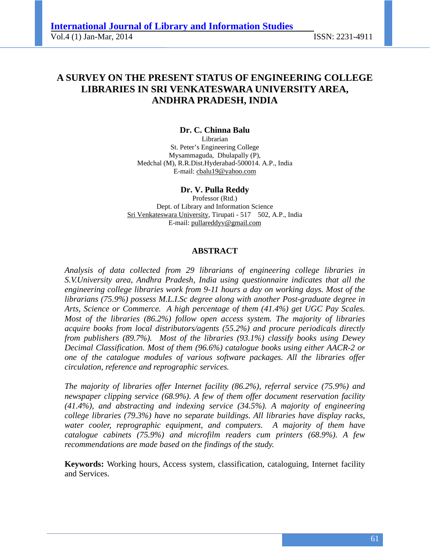# **A SURVEY ON THE PRESENT STATUS OF ENGINEERING COLLEGE LIBRARIES IN SRI VENKATESWARA UNIVERSITY AREA, ANDHRA PRADESH, INDIA**

**Dr. C. Chinna Balu**  Librarian St. Peter's Engineering College Mysammaguda, Dhulapally (P), Medchal (M), R.R.Dist.Hyderabad-500014. A.P., India E-mail: cbalu19@yahoo.com

**Dr. V. Pulla Reddy**

Professor (Rtd.) Dept. of Library and Information Science Sri Venkateswara University, Tirupati - 517 502, A.P., India E-mail: pullareddyv@gmail.com

#### **ABSTRACT**

*Analysis of data collected from 29 librarians of engineering college libraries in S.V.University area, Andhra Pradesh, India using questionnaire indicates that all the engineering college libraries work from 9-11 hours a day on working days. Most of the librarians (75.9%) possess M.L.I.Sc degree along with another Post-graduate degree in Arts, Science or Commerce. A high percentage of them (41.4%) get UGC Pay Scales. Most of the libraries (86.2%) follow open access system. The majority of libraries acquire books from local distributors/agents (55.2%) and procure periodicals directly from publishers (89.7%). Most of the libraries (93.1%) classify books using Dewey Decimal Classification. Most of them (96.6%) catalogue books using either AACR-2 or one of the catalogue modules of various software packages. All the libraries offer circulation, reference and reprographic services.* 

*The majority of libraries offer Internet facility (86.2%), referral service (75.9%) and newspaper clipping service (68.9%). A few of them offer document reservation facility (41.4%), and abstracting and indexing service (34.5%). A majority of engineering college libraries (79.3%) have no separate buildings. All libraries have display racks, water cooler, reprographic equipment, and computers. A majority of them have catalogue cabinets (75.9%) and microfilm readers cum printers (68.9%). A few recommendations are made based on the findings of the study.* 

**Keywords:** Working hours, Access system, classification, cataloguing, Internet facility and Services.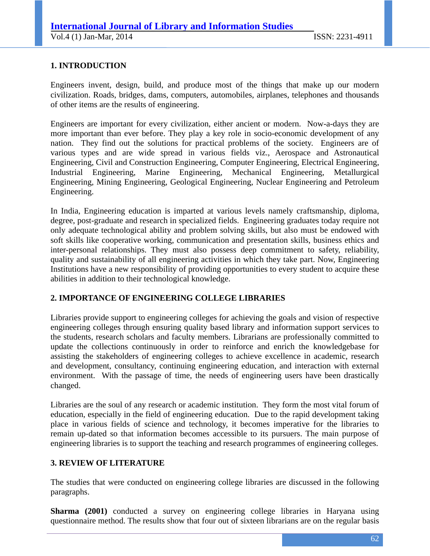## **1. INTRODUCTION**

Engineers invent, design, build, and produce most of the things that make up our modern civilization. Roads, bridges, dams, computers, automobiles, airplanes, telephones and thousands of other items are the results of engineering.

Engineers are important for every civilization, either ancient or modern. Now-a-days they are more important than ever before. They play a key role in socio-economic development of any nation. They find out the solutions for practical problems of the society. Engineers are of various types and are wide spread in various fields viz., Aerospace and Astronautical Engineering, Civil and Construction Engineering, Computer Engineering, Electrical Engineering, Industrial Engineering, Marine Engineering, Mechanical Engineering, Metallurgical Engineering, Mining Engineering, Geological Engineering, Nuclear Engineering and Petroleum Engineering.

In India, Engineering education is imparted at various levels namely craftsmanship, diploma, degree, post-graduate and research in specialized fields. Engineering graduates today require not only adequate technological ability and problem solving skills, but also must be endowed with soft skills like cooperative working, communication and presentation skills, business ethics and inter-personal relationships. They must also possess deep commitment to safety, reliability, quality and sustainability of all engineering activities in which they take part. Now, Engineering Institutions have a new responsibility of providing opportunities to every student to acquire these abilities in addition to their technological knowledge.

## **2. IMPORTANCE OF ENGINEERING COLLEGE LIBRARIES**

Libraries provide support to engineering colleges for achieving the goals and vision of respective engineering colleges through ensuring quality based library and information support services to the students, research scholars and faculty members. Librarians are professionally committed to update the collections continuously in order to reinforce and enrich the knowledgebase for assisting the stakeholders of engineering colleges to achieve excellence in academic, research and development, consultancy, continuing engineering education, and interaction with external environment. With the passage of time, the needs of engineering users have been drastically changed.

Libraries are the soul of any research or academic institution. They form the most vital forum of education, especially in the field of engineering education. Due to the rapid development taking place in various fields of science and technology, it becomes imperative for the libraries to remain up-dated so that information becomes accessible to its pursuers. The main purpose of engineering libraries is to support the teaching and research programmes of engineering colleges.

### **3. REVIEW OF LITERATURE**

The studies that were conducted on engineering college libraries are discussed in the following paragraphs.

**Sharma (2001)** conducted a survey on engineering college libraries in Haryana using questionnaire method. The results show that four out of sixteen librarians are on the regular basis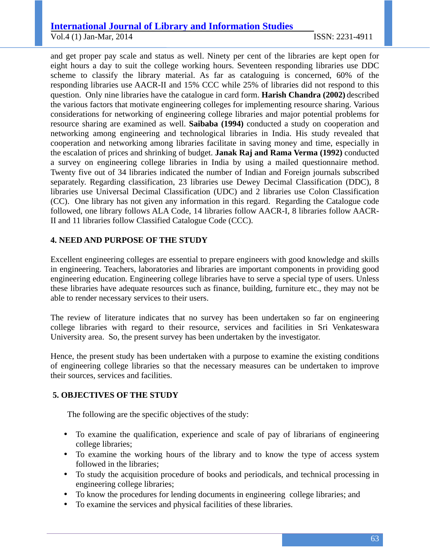# **International Journal of Library and Information Studies**

Vol.4 (1) Jan-Mar, 2014 ISSN: 2231-4911

and get proper pay scale and status as well. Ninety per cent of the libraries are kept open for eight hours a day to suit the college working hours. Seventeen responding libraries use DDC scheme to classify the library material. As far as cataloguing is concerned, 60% of the responding libraries use AACR-II and 15% CCC while 25% of libraries did not respond to this question. Only nine libraries have the catalogue in card form. **Harish Chandra (2002)** described the various factors that motivate engineering colleges for implementing resource sharing. Various considerations for networking of engineering college libraries and major potential problems for resource sharing are examined as well. **Saibaba (1994)** conducted a study on cooperation and networking among engineering and technological libraries in India. His study revealed that cooperation and networking among libraries facilitate in saving money and time, especially in the escalation of prices and shrinking of budget. **Janak Raj and Rama Verma (1992)** conducted a survey on engineering college libraries in India by using a mailed questionnaire method. Twenty five out of 34 libraries indicated the number of Indian and Foreign journals subscribed separately. Regarding classification, 23 libraries use Dewey Decimal Classification (DDC), 8 libraries use Universal Decimal Classification (UDC) and 2 libraries use Colon Classification (CC). One library has not given any information in this regard. Regarding the Catalogue code followed, one library follows ALA Code, 14 libraries follow AACR-I, 8 libraries follow AACR-II and 11 libraries follow Classified Catalogue Code (CCC).

## **4. NEED AND PURPOSE OF THE STUDY**

Excellent engineering colleges are essential to prepare engineers with good knowledge and skills in engineering. Teachers, laboratories and libraries are important components in providing good engineering education. Engineering college libraries have to serve a special type of users. Unless these libraries have adequate resources such as finance, building, furniture etc., they may not be able to render necessary services to their users.

The review of literature indicates that no survey has been undertaken so far on engineering college libraries with regard to their resource, services and facilities in Sri Venkateswara University area. So, the present survey has been undertaken by the investigator.

Hence, the present study has been undertaken with a purpose to examine the existing conditions of engineering college libraries so that the necessary measures can be undertaken to improve their sources, services and facilities.

## **5. OBJECTIVES OF THE STUDY**

The following are the specific objectives of the study:

- To examine the qualification, experience and scale of pay of librarians of engineering college libraries;
- To examine the working hours of the library and to know the type of access system followed in the libraries;
- To study the acquisition procedure of books and periodicals, and technical processing in engineering college libraries;
- To know the procedures for lending documents in engineering college libraries; and
- To examine the services and physical facilities of these libraries.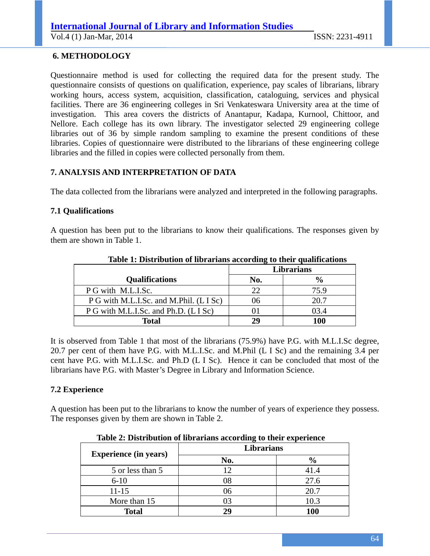## **6. METHODOLOGY**

Questionnaire method is used for collecting the required data for the present study. The questionnaire consists of questions on qualification, experience, pay scales of librarians, library working hours, access system, acquisition, classification, cataloguing, services and physical facilities. There are 36 engineering colleges in Sri Venkateswara University area at the time of investigation. This area covers the districts of Anantapur, Kadapa, Kurnool, Chittoor, and Nellore. Each college has its own library. The investigator selected 29 engineering college libraries out of 36 by simple random sampling to examine the present conditions of these libraries. Copies of questionnaire were distributed to the librarians of these engineering college libraries and the filled in copies were collected personally from them.

## **7. ANALYSIS AND INTERPRETATION OF DATA**

The data collected from the librarians were analyzed and interpreted in the following paragraphs.

### **7.1 Qualifications**

A question has been put to the librarians to know their qualifications. The responses given by them are shown in Table 1.

|                                         | -<br><b>Librarians</b> |               |
|-----------------------------------------|------------------------|---------------|
| <b>Qualifications</b>                   | No.                    | $\frac{6}{6}$ |
| P G with M.L.I.Sc.                      | 22                     | 75.9          |
| P G with M.L.I.Sc. and M.Phil. (L I Sc) | 06                     | 20.7          |
| P G with M.L.I.Sc. and Ph.D. (L I Sc)   |                        | 03.4          |
| <b>Total</b>                            | 29                     | 100           |

**Table 1: Distribution of librarians according to their qualifications** 

It is observed from Table 1 that most of the librarians (75.9%) have P.G. with M.L.I.Sc degree, 20.7 per cent of them have P.G. with M.L.I.Sc. and M.Phil (L I Sc) and the remaining 3.4 per cent have P.G. with M.L.I.Sc. and Ph.D (L I Sc). Hence it can be concluded that most of the librarians have P.G. with Master's Degree in Library and Information Science.

### **7.2 Experience**

A question has been put to the librarians to know the number of years of experience they possess. The responses given by them are shown in Table 2.

| Table 2: Distribution of horarians according to their experience |                   |               |  |
|------------------------------------------------------------------|-------------------|---------------|--|
| <b>Experience (in years)</b>                                     | <b>Librarians</b> |               |  |
|                                                                  | No.               | $\frac{6}{6}$ |  |
| 5 or less than 5                                                 | 12                | 41.4          |  |
| $6 - 10$                                                         | 08                | 27.6          |  |
| $11 - 15$                                                        | 06                | 20.7          |  |
| More than 15                                                     | 03                | 10.3          |  |
| <b>Total</b>                                                     | 29                | 100           |  |

 **Table 2: Distribution of librarians according to their experience**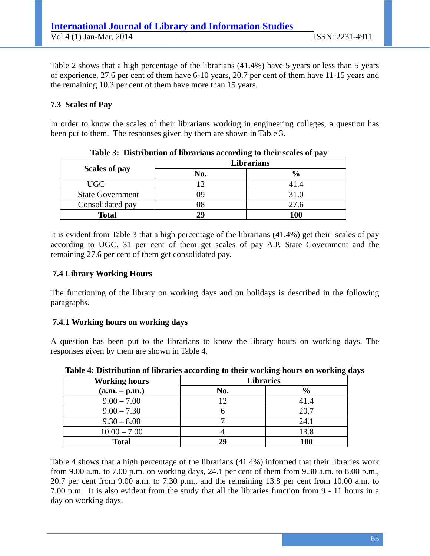Table 2 shows that a high percentage of the librarians (41.4%) have 5 years or less than 5 years of experience, 27.6 per cent of them have 6-10 years, 20.7 per cent of them have 11-15 years and the remaining 10.3 per cent of them have more than 15 years.

## **7.3 Scales of Pay**

In order to know the scales of their librarians working in engineering colleges, a question has been put to them. The responses given by them are shown in Table 3.

|                         | Librarians |               |
|-------------------------|------------|---------------|
| <b>Scales of pay</b>    | No.        | $\frac{0}{0}$ |
| <b>UGC</b>              |            | 41.4          |
| <b>State Government</b> | ŋg         | 31.0          |
| Consolidated pay        |            | 27.6          |
| <b>Total</b>            | 20         | 100           |

 **Table 3: Distribution of librarians according to their scales of pay** 

It is evident from Table 3 that a high percentage of the librarians (41.4%) get their scales of pay according to UGC, 31 per cent of them get scales of pay A.P. State Government and the remaining 27.6 per cent of them get consolidated pay.

## **7.4 Library Working Hours**

The functioning of the library on working days and on holidays is described in the following paragraphs.

### **7.4.1 Working hours on working days**

A question has been put to the librarians to know the library hours on working days. The responses given by them are shown in Table 4.

| <b>Working hours</b> | <b>Libraries</b> |               |
|----------------------|------------------|---------------|
| $(a.m. - p.m.)$      | No.              | $\frac{6}{9}$ |
| $9.00 - 7.00$        | 12               | 41.4          |
| $9.00 - 7.30$        |                  | 20.7          |
| $9.30 - 8.00$        |                  | 24.1          |
| $10.00 - 7.00$       |                  | 13.8          |
| <b>Total</b>         | 29               | <b>100</b>    |

**Table 4: Distribution of libraries according to their working hours on working days** 

Table 4 shows that a high percentage of the librarians (41.4%) informed that their libraries work from 9.00 a.m. to 7.00 p.m. on working days, 24.1 per cent of them from 9.30 a.m. to 8.00 p.m., 20.7 per cent from 9.00 a.m. to 7.30 p.m., and the remaining 13.8 per cent from 10.00 a.m. to 7.00 p.m. It is also evident from the study that all the libraries function from 9 - 11 hours in a day on working days.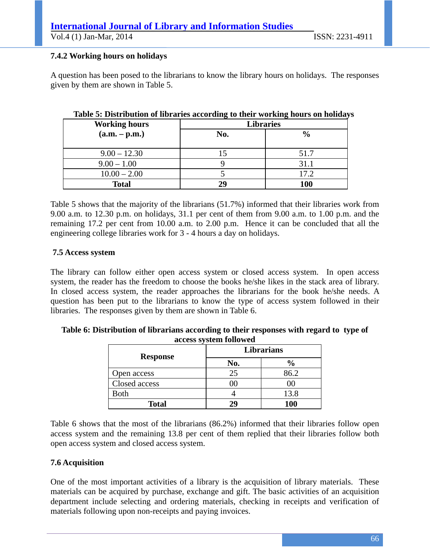Vol.4 (1) Jan-Mar, 2014 ISSN: 2231-4911

## **7.4.2 Working hours on holidays**

A question has been posed to the librarians to know the library hours on holidays. The responses given by them are shown in Table 5.

| <b>Working hours</b> | <b>Libraries</b> |               |
|----------------------|------------------|---------------|
| $(a.m. - p.m.)$      | No.              | $\frac{0}{0}$ |
| $9.00 - 12.30$       |                  | 51.7          |
| $9.00 - 1.00$        |                  | 31.1          |
| $10.00 - 2.00$       |                  | 17.2          |
| <b>Total</b>         | 29               | <b>100</b>    |

## **Table 5: Distribution of libraries according to their working hours on holidays**

Table 5 shows that the majority of the librarians (51.7%) informed that their libraries work from 9.00 a.m. to 12.30 p.m. on holidays, 31.1 per cent of them from 9.00 a.m. to 1.00 p.m. and the remaining 17.2 per cent from 10.00 a.m. to 2.00 p.m. Hence it can be concluded that all the engineering college libraries work for 3 - 4 hours a day on holidays.

## **7.5 Access system**

The library can follow either open access system or closed access system. In open access system, the reader has the freedom to choose the books he/she likes in the stack area of library. In closed access system, the reader approaches the librarians for the book he/she needs. A question has been put to the librarians to know the type of access system followed in their libraries. The responses given by them are shown in Table 6.

| Table 6: Distribution of librarians according to their responses with regard to type of |                        |  |
|-----------------------------------------------------------------------------------------|------------------------|--|
|                                                                                         | access system followed |  |
|                                                                                         |                        |  |

| <b>Response</b> | Librarians |               |  |
|-----------------|------------|---------------|--|
|                 | No.        | $\frac{6}{9}$ |  |
| Open access     | 25         | 86.2          |  |
| Closed access   |            |               |  |
| <b>Both</b>     |            | 13.8          |  |
| <b>Total</b>    | 29         | 100           |  |

Table 6 shows that the most of the librarians (86.2%) informed that their libraries follow open access system and the remaining 13.8 per cent of them replied that their libraries follow both open access system and closed access system.

## **7.6 Acquisition**

One of the most important activities of a library is the acquisition of library materials. These materials can be acquired by purchase, exchange and gift. The basic activities of an acquisition department include selecting and ordering materials, checking in receipts and verification of materials following upon non-receipts and paying invoices.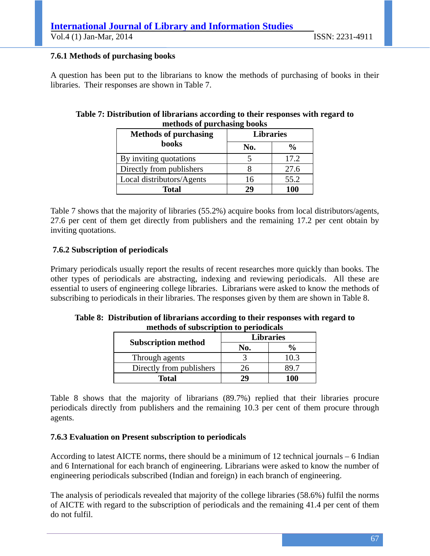## **International Journal of Library and Information Studies**

Vol.4 (1) Jan-Mar, 2014 ISSN: 2231-4911

## **7.6.1 Methods of purchasing books**

A question has been put to the librarians to know the methods of purchasing of books in their libraries. Their responses are shown in Table 7.

## **Table 7: Distribution of librarians according to their responses with regard to methods of purchasing books**

| <b>Methods of purchasing</b> | <b>Libraries</b> |                |  |
|------------------------------|------------------|----------------|--|
| <b>books</b>                 | No.              | $\frac{6}{10}$ |  |
| By inviting quotations       |                  | 17.2           |  |
| Directly from publishers     |                  | 27.6           |  |
| Local distributors/Agents    | 16               | 55.2           |  |
| <b>Total</b>                 | 29               | 100            |  |

Table 7 shows that the majority of libraries (55.2%) acquire books from local distributors/agents, 27.6 per cent of them get directly from publishers and the remaining 17.2 per cent obtain by inviting quotations.

## **7.6.2 Subscription of periodicals**

Primary periodicals usually report the results of recent researches more quickly than books. The other types of periodicals are abstracting, indexing and reviewing periodicals. All these are essential to users of engineering college libraries. Librarians were asked to know the methods of subscribing to periodicals in their libraries. The responses given by them are shown in Table 8.

| methous of subscription to perfound as |                  |               |
|----------------------------------------|------------------|---------------|
| <b>Subscription method</b>             | <b>Libraries</b> |               |
|                                        | No.              | $\frac{0}{0}$ |
| Through agents                         |                  | 10.3          |
| Directly from publishers               | Z6               |               |
| Total                                  | 29               | 100           |

**Table 8: Distribution of librarians according to their responses with regard to methods of subscription to periodicals** 

Table 8 shows that the majority of librarians (89.7%) replied that their libraries procure periodicals directly from publishers and the remaining 10.3 per cent of them procure through agents.

## **7.6.3 Evaluation on Present subscription to periodicals**

According to latest AICTE norms, there should be a minimum of 12 technical journals – 6 Indian and 6 International for each branch of engineering. Librarians were asked to know the number of engineering periodicals subscribed (Indian and foreign) in each branch of engineering.

The analysis of periodicals revealed that majority of the college libraries (58.6%) fulfil the norms of AICTE with regard to the subscription of periodicals and the remaining 41.4 per cent of them do not fulfil.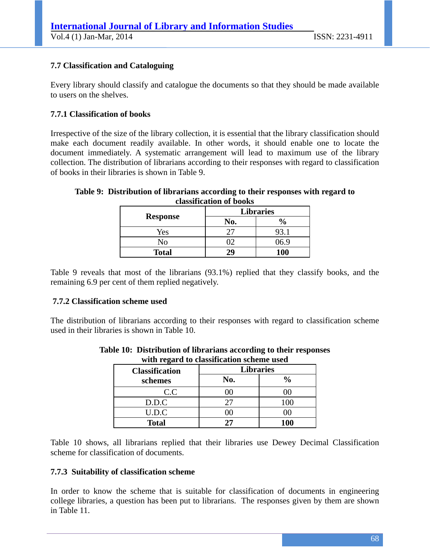## **7.7 Classification and Cataloguing**

Every library should classify and catalogue the documents so that they should be made available to users on the shelves.

### **7.7.1 Classification of books**

Irrespective of the size of the library collection, it is essential that the library classification should make each document readily available. In other words, it should enable one to locate the document immediately. A systematic arrangement will lead to maximum use of the library collection. The distribution of librarians according to their responses with regard to classification of books in their libraries is shown in Table 9.

#### **Table 9: Distribution of librarians according to their responses with regard to classification of books**

| <b>Response</b> | <b>Libraries</b> |                                    |
|-----------------|------------------|------------------------------------|
|                 | No.              | $\boldsymbol{\theta}_{\mathbf{0}}$ |
| Yes             |                  | 93.1                               |
| No              |                  | 6.9                                |
| <b>Total</b>    | 29               | <b>100</b>                         |

Table 9 reveals that most of the librarians (93.1%) replied that they classify books, and the remaining 6.9 per cent of them replied negatively.

### **7.7.2 Classification scheme used**

The distribution of librarians according to their responses with regard to classification scheme used in their libraries is shown in Table 10.

| <b>Classification</b> | <b>Libraries</b> |               |
|-----------------------|------------------|---------------|
| schemes               | No.              | $\frac{0}{0}$ |
| C.C                   | 00               | K             |
| D.D.C                 | 27               | 100           |
| U.D.C                 | JO.              | K.            |
| <b>Total</b>          | 27               | <b>100</b>    |

#### **Table 10: Distribution of librarians according to their responses with regard to classification scheme used**

Table 10 shows, all librarians replied that their libraries use Dewey Decimal Classification scheme for classification of documents.

### **7.7.3 Suitability of classification scheme**

In order to know the scheme that is suitable for classification of documents in engineering college libraries, a question has been put to librarians. The responses given by them are shown in Table 11.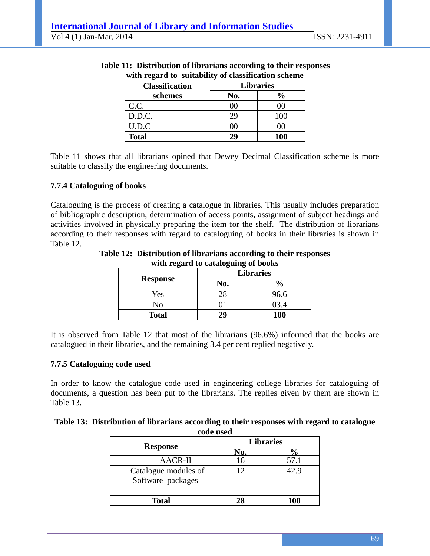| with regard to suitability of classification scheme |                  |               |
|-----------------------------------------------------|------------------|---------------|
| <b>Classification</b>                               | <b>Libraries</b> |               |
| schemes                                             | No.              | $\frac{0}{0}$ |
| C.C.                                                | 00               | OO)           |
| D.D.C.                                              | 29               | 100           |
| U.D.C                                               | ( )( )           | ()()          |
| <b>Total</b>                                        | 29               | <b>100</b>    |

#### **Table 11: Distribution of librarians according to their responses with regard to suitability of classification scheme**

Table 11 shows that all librarians opined that Dewey Decimal Classification scheme is more suitable to classify the engineering documents.

### **7.7.4 Cataloguing of books**

Cataloguing is the process of creating a catalogue in libraries. This usually includes preparation of bibliographic description, determination of access points, assignment of subject headings and activities involved in physically preparing the item for the shelf. The distribution of librarians according to their responses with regard to cataloguing of books in their libraries is shown in Table 12.

| $m$ and $m_{\rm{S}}$ and $m_{\rm{S}}$ called $m_{\rm{S}}$ or $m_{\rm{S}}$ or $m_{\rm{S}}$ |                  |               |  |  |
|-------------------------------------------------------------------------------------------|------------------|---------------|--|--|
|                                                                                           | <b>Libraries</b> |               |  |  |
| <b>Response</b>                                                                           | No.              | $\frac{0}{0}$ |  |  |
| Yes                                                                                       | 28               | 96.6          |  |  |
| No                                                                                        |                  | 03.4          |  |  |
| <b>Total</b>                                                                              | 29               | <b>100</b>    |  |  |

**Table 12: Distribution of librarians according to their responses with regard to cataloguing of books** 

It is observed from Table 12 that most of the librarians (96.6%) informed that the books are catalogued in their libraries, and the remaining 3.4 per cent replied negatively.

### **7.7.5 Cataloguing code used**

In order to know the catalogue code used in engineering college libraries for cataloguing of documents, a question has been put to the librarians. The replies given by them are shown in Table 13.

#### **Table 13: Distribution of librarians according to their responses with regard to catalogue code used**

| <b>Response</b>                           | <b>Libraries</b> |      |  |
|-------------------------------------------|------------------|------|--|
|                                           |                  |      |  |
| <b>AACR-II</b>                            |                  | 57.1 |  |
| Catalogue modules of<br>Software packages |                  | 42.9 |  |
| Total                                     | 28               | 100  |  |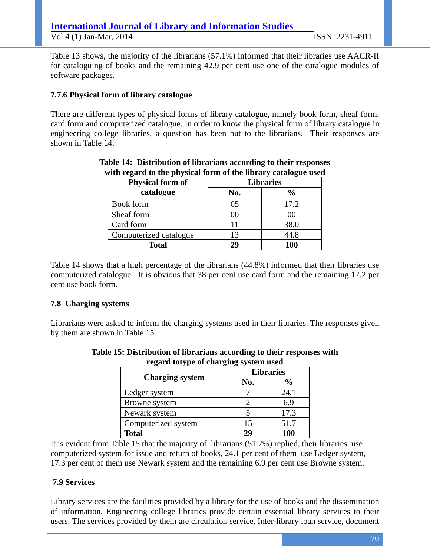Table 13 shows, the majority of the librarians (57.1%) informed that their libraries use AACR-II for cataloguing of books and the remaining 42.9 per cent use one of the catalogue modules of software packages.

## **7.7.6 Physical form of library catalogue**

There are different types of physical forms of library catalogue, namely book form, sheaf form, card form and computerized catalogue. In order to know the physical form of library catalogue in engineering college libraries, a question has been put to the librarians. Their responses are shown in Table 14.

| -<br><b>Physical form of</b> | o<br><b>Libraries</b> |               |  |
|------------------------------|-----------------------|---------------|--|
| catalogue                    | No.                   | $\frac{0}{0}$ |  |
| Book form                    | 05                    | 17.2          |  |
| Sheaf form                   | 00                    | 00            |  |
| Card form                    | 11                    | 38.0          |  |
| Computerized catalogue       | 13                    | 44.8          |  |
| <b>Total</b>                 | 29                    | 100           |  |

## **Table 14: Distribution of librarians according to their responses with regard to the physical form of the library catalogue used**

Table 14 shows that a high percentage of the librarians (44.8%) informed that their libraries use computerized catalogue. It is obvious that 38 per cent use card form and the remaining 17.2 per cent use book form.

### **7.8 Charging systems**

Librarians were asked to inform the charging systems used in their libraries. The responses given by them are shown in Table 15.

|                        |     | <b>Libraries</b> |  |  |
|------------------------|-----|------------------|--|--|
| <b>Charging system</b> | No. | $\frac{0}{0}$    |  |  |
| Ledger system          |     | 24.1             |  |  |
| Browne system          |     | 6.9              |  |  |
| Newark system          |     | 17.3             |  |  |
| Computerized system    | 15  | 51.7             |  |  |
| <b>Total</b>           | 29  | 100              |  |  |

### **Table 15: Distribution of librarians according to their responses with regard totype of charging system used**

It is evident from Table 15 that the majority of librarians (51.7%) replied, their libraries use computerized system for issue and return of books, 24.1 per cent of them use Ledger system, 17.3 per cent of them use Newark system and the remaining 6.9 per cent use Browne system.

## **7.9 Services**

Library services are the facilities provided by a library for the use of books and the dissemination of information. Engineering college libraries provide certain essential library services to their users. The services provided by them are circulation service, Inter-library loan service, document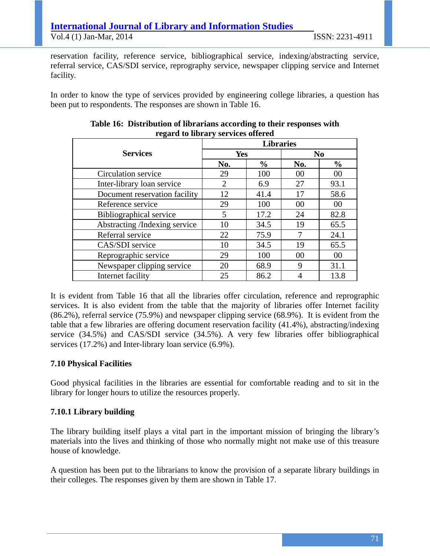reservation facility, reference service, bibliographical service, indexing/abstracting service, referral service, CAS/SDI service, reprography service, newspaper clipping service and Internet facility.

In order to know the type of services provided by engineering college libraries, a question has been put to respondents. The responses are shown in Table 16.

| regard to horary services offered |                  |               |                |               |  |
|-----------------------------------|------------------|---------------|----------------|---------------|--|
|                                   | <b>Libraries</b> |               |                |               |  |
| <b>Services</b>                   | Yes              |               | N <sub>0</sub> |               |  |
|                                   | No.              | $\frac{0}{0}$ | No.            | $\frac{0}{0}$ |  |
| Circulation service               | 29               | 100           | 00             | 00            |  |
| Inter-library loan service        | $\overline{2}$   | 6.9           | 27             | 93.1          |  |
| Document reservation facility     | 12               | 41.4          | 17             | 58.6          |  |
| Reference service                 | 29               | 100           | 00             | 00            |  |
| Bibliographical service           | 5                | 17.2          | 24             | 82.8          |  |
| Abstracting /Indexing service     | 10               | 34.5          | 19             | 65.5          |  |
| Referral service                  | 22               | 75.9          | 7              | 24.1          |  |
| CAS/SDI service                   | 10               | 34.5          | 19             | 65.5          |  |
| Reprographic service              | 29               | 100           | 00             | 00            |  |
| Newspaper clipping service        | 20               | 68.9          | 9              | 31.1          |  |
| Internet facility                 | 25               | 86.2          |                | 13.8          |  |

### **Table 16: Distribution of librarians according to their responses with regard to library services offered**

It is evident from Table 16 that all the libraries offer circulation, reference and reprographic services. It is also evident from the table that the majority of libraries offer Internet facility (86.2%), referral service (75.9%) and newspaper clipping service (68.9%). It is evident from the table that a few libraries are offering document reservation facility (41.4%), abstracting/indexing service (34.5%) and CAS/SDI service (34.5%). A very few libraries offer bibliographical services (17.2%) and Inter-library loan service (6.9%).

## **7.10 Physical Facilities**

Good physical facilities in the libraries are essential for comfortable reading and to sit in the library for longer hours to utilize the resources properly.

## **7.10.1 Library building**

The library building itself plays a vital part in the important mission of bringing the library's materials into the lives and thinking of those who normally might not make use of this treasure house of knowledge.

A question has been put to the librarians to know the provision of a separate library buildings in their colleges. The responses given by them are shown in Table 17.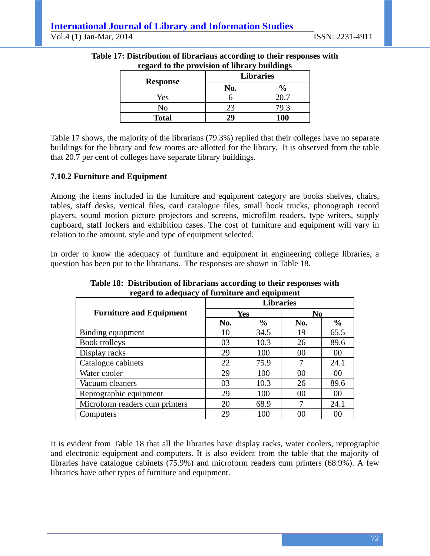| <b>Response</b> | $\log a$ to the provision of norm, bundings<br><b>Libraries</b> |               |  |
|-----------------|-----------------------------------------------------------------|---------------|--|
|                 | No.                                                             | $\frac{6}{6}$ |  |
| Yes             |                                                                 | 20.7          |  |
| No              | 23                                                              | 79.3          |  |
| <b>Total</b>    | 29                                                              | <b>100</b>    |  |

### **Table 17: Distribution of librarians according to their responses with regard to the provision of library buildings**

Table 17 shows, the majority of the librarians (79.3%) replied that their colleges have no separate buildings for the library and few rooms are allotted for the library. It is observed from the table that 20.7 per cent of colleges have separate library buildings.

## **7.10.2 Furniture and Equipment**

Among the items included in the furniture and equipment category are books shelves, chairs, tables, staff desks, vertical files, card catalogue files, small book trucks, phonograph record players, sound motion picture projectors and screens, microfilm readers, type writers, supply cupboard, staff lockers and exhibition cases. The cost of furniture and equipment will vary in relation to the amount, style and type of equipment selected.

In order to know the adequacy of furniture and equipment in engineering college libraries, a question has been put to the librarians. The responses are shown in Table 18.

|                                | regard to adequacy or rarmitare and equipment<br><b>Libraries</b> |               |                |                |
|--------------------------------|-------------------------------------------------------------------|---------------|----------------|----------------|
| <b>Furniture and Equipment</b> | <b>Yes</b>                                                        |               | N <sub>0</sub> |                |
|                                | No.                                                               | $\frac{0}{0}$ | No.            | $\frac{0}{0}$  |
| Binding equipment              | 10                                                                | 34.5          | 19             | 65.5           |
| <b>Book trolleys</b>           | 03                                                                | 10.3          | 26             | 89.6           |
| Display racks                  | 29                                                                | 100           | 00             | 00             |
| Catalogue cabinets             | 22                                                                | 75.9          | 7              | 24.1           |
| Water cooler                   | 29                                                                | 100           | 00             | 00             |
| Vacuum cleaners                | 03                                                                | 10.3          | 26             | 89.6           |
| Reprographic equipment         | 29                                                                | 100           | 00             | 00             |
| Microform readers cum printers | 20                                                                | 68.9          | 7              | 24.1           |
| Computers                      | 29                                                                | 100           | 00             | 0 <sup>0</sup> |

**Table 18: Distribution of librarians according to their responses with regard to adequacy of furniture and equipment** 

It is evident from Table 18 that all the libraries have display racks, water coolers, reprographic and electronic equipment and computers. It is also evident from the table that the majority of libraries have catalogue cabinets (75.9%) and microform readers cum printers (68.9%). A few libraries have other types of furniture and equipment.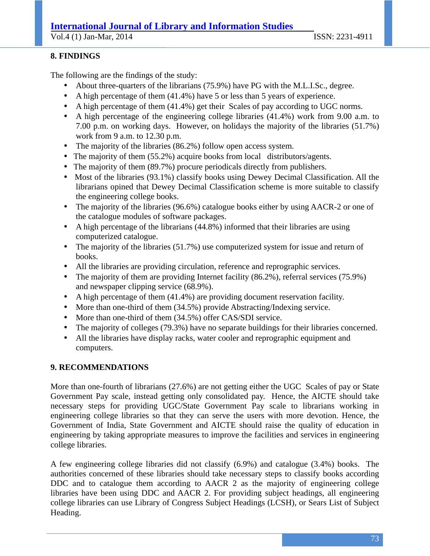# **International Journal of Library and Information Studies**

Vol.4 (1) Jan-Mar, 2014 ISSN: 2231-4911

## **8. FINDINGS**

The following are the findings of the study:

- About three-quarters of the librarians (75.9%) have PG with the M.L.I.Sc., degree.
- A high percentage of them (41.4%) have 5 or less than 5 years of experience.
- A high percentage of them (41.4%) get their Scales of pay according to UGC norms.
- A high percentage of the engineering college libraries (41.4%) work from 9.00 a.m. to 7.00 p.m. on working days. However, on holidays the majority of the libraries (51.7%) work from 9 a.m. to 12.30 p.m.
- The majority of the libraries (86.2%) follow open access system.
- The majority of them (55.2%) acquire books from local distributors/agents.
- The majority of them (89.7%) procure periodicals directly from publishers.
- Most of the libraries (93.1%) classify books using Dewey Decimal Classification. All the librarians opined that Dewey Decimal Classification scheme is more suitable to classify the engineering college books.
- The majority of the libraries (96.6%) catalogue books either by using AACR-2 or one of the catalogue modules of software packages.
- A high percentage of the librarians (44.8%) informed that their libraries are using computerized catalogue.
- The majority of the libraries (51.7%) use computerized system for issue and return of books.
- All the libraries are providing circulation, reference and reprographic services.
- The majority of them are providing Internet facility (86.2%), referral services (75.9%) and newspaper clipping service (68.9%).
- A high percentage of them (41.4%) are providing document reservation facility.
- More than one-third of them (34.5%) provide Abstracting/Indexing service.
- More than one-third of them (34.5%) offer CAS/SDI service.
- The majority of colleges (79.3%) have no separate buildings for their libraries concerned.
- All the libraries have display racks, water cooler and reprographic equipment and computers.

# **9. RECOMMENDATIONS**

More than one-fourth of librarians (27.6%) are not getting either the UGC Scales of pay or State Government Pay scale, instead getting only consolidated pay. Hence, the AICTE should take necessary steps for providing UGC/State Government Pay scale to librarians working in engineering college libraries so that they can serve the users with more devotion. Hence, the Government of India, State Government and AICTE should raise the quality of education in engineering by taking appropriate measures to improve the facilities and services in engineering college libraries.

A few engineering college libraries did not classify (6.9%) and catalogue (3.4%) books. The authorities concerned of these libraries should take necessary steps to classify books according DDC and to catalogue them according to AACR 2 as the majority of engineering college libraries have been using DDC and AACR 2. For providing subject headings, all engineering college libraries can use Library of Congress Subject Headings (LCSH), or Sears List of Subject Heading.